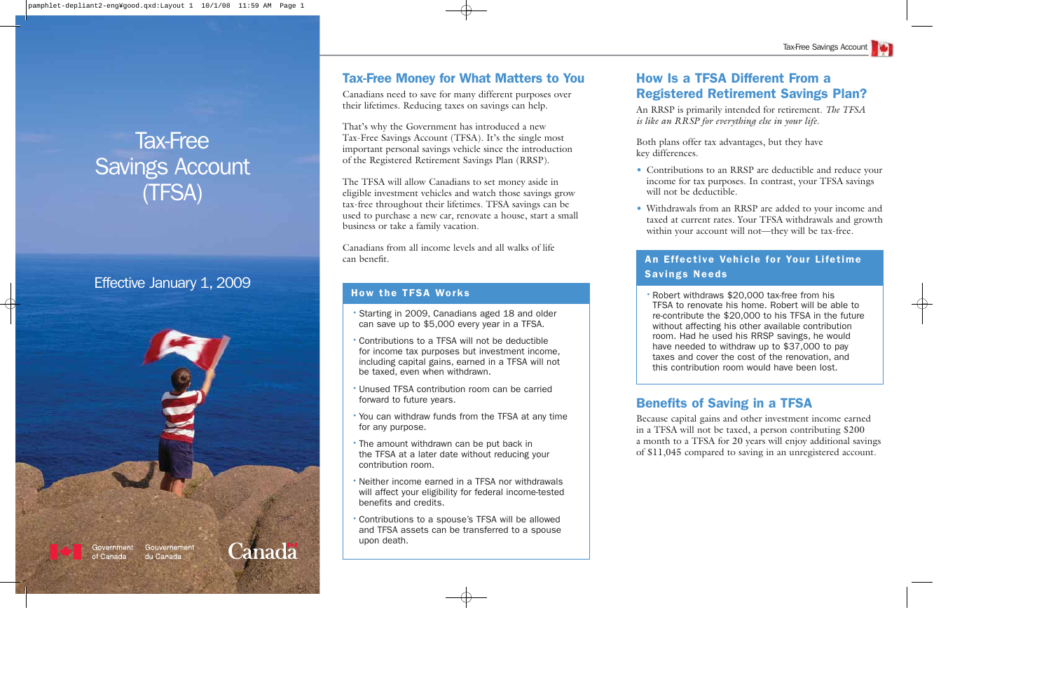# **Tax-Free Money for What Matters to You**

Canadians need to save for many different purposes over their lifetimes. Reducing taxes on savings can help.

That's why the Government has introduced a new Tax-Free Savings Account (TFSA). It's the single most important personal savings vehicle since the introduction of the Registered Retirement Savings Plan (RRSP).

The TFSA will allow Canadians to set money aside in eligible investment vehicles and watch those savings grow tax-free throughout their lifetimes. TFSA savings can be used to purchase a new car, renovate a house, start a small business or take a family vacation.

Canadians from all income levels and all walks of life can benefit.

# **How Is a TFSA Different From a Registered Retirement Savings Plan?**

An RRSP is primarily intended for retirement. *The TFSA is like an RRSP for everything else in your life*.

Both plans offer tax advantages, but they have key differences.

- Contributions to an RRSP are deductible and reduce your income for tax purposes. In contrast, your TFSA savings will not be deductible.
- Withdrawals from an RRSP are added to your income and taxed at current rates. Your TFSA withdrawals and growth within your account will not—they will be tax-free.

# Tax-Free Savings Account (TFSA)

# Effective January 1, 2009



- •Starting in 2009, Canadians aged 18 and older can save up to \$5,000 every year in a TFSA.
- •Contributions to a TFSA will not be deductible for income tax purposes but investment income, including capital gains, earned in a TFSA will not be taxed, even when withdrawn.
- •Unused TFSA contribution room can be carried forward to future years.
- •You can withdraw funds from the TFSA at any time for any purpose.
- •The amount withdrawn can be put back in the TFSA at a later date without reducing your contribution room.
- •Neither income earned in a TFSA nor withdrawals will affect your eligibility for federal income-tested benefits and credits.
- •Contributions to a spouse's TFSA will be allowed and TFSA assets can be transferred to a spouse upon death.

## **An Effective Vehicle for Your Lifetime Savings Needs**

•Robert withdraws \$20,000 tax-free from his TFSA to renovate his home. Robert will be able to re-contribute the \$20,000 to his TFSA in the future without affecting his other available contribution room. Had he used his RRSP savings, he would have needed to withdraw up to \$37,000 to pay taxes and cover the cost of the renovation, and this contribution room would have been lost.

# **Benefits of Saving in a TFSA**

Because capital gains and other investment income earned in a TFSA will not be taxed, a person contributing \$200 <sup>a</sup> month to a TFSA for 20 years will enjoy additional savings of \$11,045 compared to saving in an unregistered account.